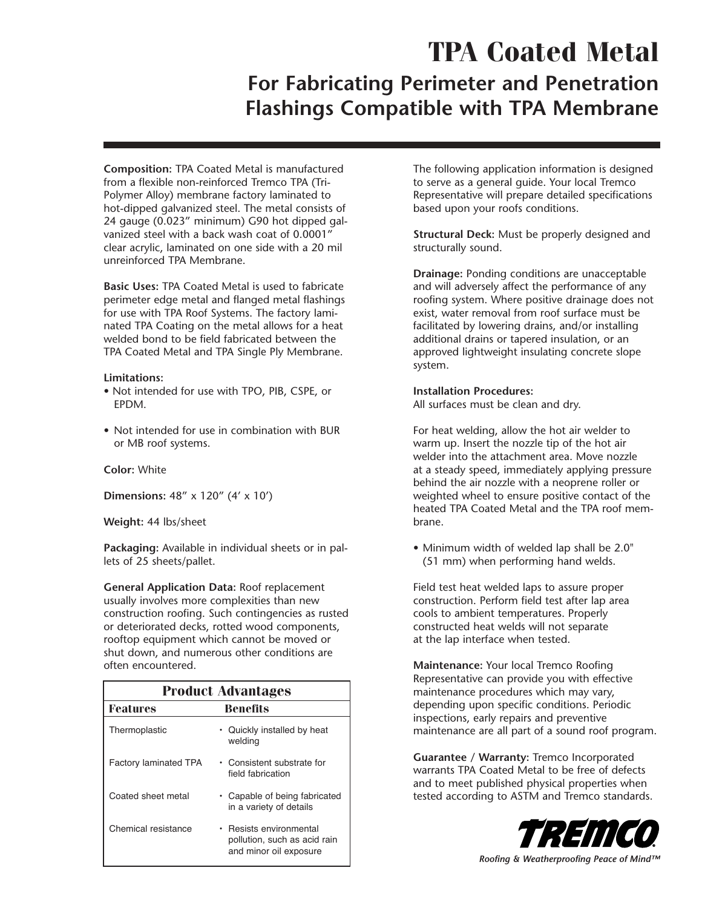# **TPA Coated Metal**

# **For Fabricating Perimeter and Penetration Flashings Compatible with TPA Membrane**

**Composition:** TPA Coated Metal is manufactured from a flexible non-reinforced Tremco TPA (Tri-Polymer Alloy) membrane factory laminated to hot-dipped galvanized steel. The metal consists of 24 gauge (0.023" minimum) G90 hot dipped galvanized steel with a back wash coat of 0.0001" clear acrylic, laminated on one side with a 20 mil unreinforced TPA Membrane.

**Basic Uses:** TPA Coated Metal is used to fabricate perimeter edge metal and flanged metal flashings for use with TPA Roof Systems. The factory laminated TPA Coating on the metal allows for a heat welded bond to be field fabricated between the TPA Coated Metal and TPA Single Ply Membrane.

#### **Limitations:**

- Not intended for use with TPO, PIB, CSPE, or EPDM.
- Not intended for use in combination with BUR or MB roof systems.

# **Color:** White

**Dimensions:** 48" x 120" (4' x 10')

**Weight:** 44 lbs/sheet

**Packaging:** Available in individual sheets or in pallets of 25 sheets/pallet.

**General Application Data:** Roof replacement usually involves more complexities than new construction roofing. Such contingencies as rusted or deteriorated decks, rotted wood components, rooftop equipment which cannot be moved or shut down, and numerous other conditions are often encountered.

| <b>Product Advantages</b>    |                                                                                 |
|------------------------------|---------------------------------------------------------------------------------|
| <b>Features</b>              | Benefits                                                                        |
| Thermoplastic                | Quickly installed by heat<br>welding                                            |
| <b>Factory laminated TPA</b> | • Consistent substrate for<br>field fabrication                                 |
| Coated sheet metal           | • Capable of being fabricated<br>in a variety of details                        |
| Chemical resistance          | Resists environmental<br>pollution, such as acid rain<br>and minor oil exposure |

The following application information is designed to serve as a general guide. Your local Tremco Representative will prepare detailed specifications based upon your roofs conditions.

**Structural Deck:** Must be properly designed and structurally sound.

**Drainage:** Ponding conditions are unacceptable and will adversely affect the performance of any roofing system. Where positive drainage does not exist, water removal from roof surface must be facilitated by lowering drains, and/or installing additional drains or tapered insulation, or an approved lightweight insulating concrete slope system.

# **Installation Procedures:**

All surfaces must be clean and dry.

For heat welding, allow the hot air welder to warm up. Insert the nozzle tip of the hot air welder into the attachment area. Move nozzle at a steady speed, immediately applying pressure behind the air nozzle with a neoprene roller or weighted wheel to ensure positive contact of the heated TPA Coated Metal and the TPA roof membrane.

• Minimum width of welded lap shall be 2.0" (51 mm) when performing hand welds.

Field test heat welded laps to assure proper construction. Perform field test after lap area cools to ambient temperatures. Properly constructed heat welds will not separate at the lap interface when tested.

**Maintenance:** Your local Tremco Roofing Representative can provide you with effective maintenance procedures which may vary, depending upon specific conditions. Periodic inspections, early repairs and preventive maintenance are all part of a sound roof program.

**Guarantee / Warranty:** Tremco Incorporated warrants TPA Coated Metal to be free of defects and to meet published physical properties when tested according to ASTM and Tremco standards.



*Roofing & Weatherproofing Peace of Mind™*